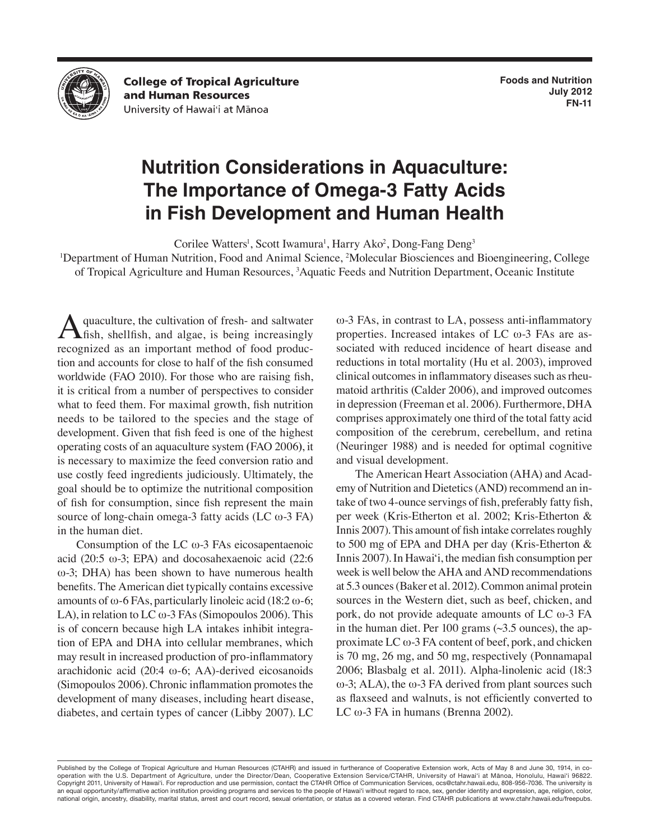

**College of Tropical Agriculture** and Human Resources University of Hawai'i at Mānoa

# **Nutrition Considerations in Aquaculture: The Importance of Omega-3 Fatty Acids in Fish Development and Human Health**

Corilee Watters<sup>1</sup>, Scott Iwamura<sup>1</sup>, Harry Ako<sup>2</sup>, Dong-Fang Deng<sup>3</sup>

<sup>1</sup>Department of Human Nutrition, Food and Animal Science, <sup>2</sup>Molecular Biosciences and Bioengineering, College of Tropical Agriculture and Human Resources, 3 Aquatic Feeds and Nutrition Department, Oceanic Institute

quaculture, the cultivation of fresh- and saltwater  $\epsilon$ fish, shellfish, and algae, is being increasingly recognized as an important method of food production and accounts for close to half of the fish consumed worldwide (FAO 2010). For those who are raising fish, it is critical from a number of perspectives to consider what to feed them. For maximal growth, fish nutrition needs to be tailored to the species and the stage of development. Given that fish feed is one of the highest operating costs of an aquaculture system **(**FAO 2006**)**, it is necessary to maximize the feed conversion ratio and use costly feed ingredients judiciously. Ultimately, the goal should be to optimize the nutritional composition of fish for consumption, since fish represent the main source of long-chain omega-3 fatty acids (LC  $\omega$ -3 FA) in the human diet.

Consumption of the LC ω-3 FAs eicosapentaenoic acid (20:5  $\omega$ -3; EPA) and docosahexaenoic acid (22:6 ω-3; DHA) has been shown to have numerous health benefits. The American diet typically contains excessive amounts of ω-6 FAs, particularly linoleic acid (18:2 ω-6; LA), in relation to LC  $\omega$ -3 FAs (Simopoulos 2006). This is of concern because high LA intakes inhibit integration of EPA and DHA into cellular membranes, which may result in increased production of pro-inflammatory arachidonic acid (20:4 ω-6; AA)-derived eicosanoids (Simopoulos 2006). Chronic inflammation promotes the development of many diseases, including heart disease, diabetes, and certain types of cancer (Libby 2007). LC ω-3 FAs, in contrast to LA, possess anti-inflammatory properties. Increased intakes of LC ω-3 FAs are associated with reduced incidence of heart disease and reductions in total mortality (Hu et al. 2003), improved clinical outcomes in inflammatory diseases such as rheumatoid arthritis (Calder 2006), and improved outcomes in depression (Freeman et al. 2006). Furthermore, DHA comprises approximately one third of the total fatty acid composition of the cerebrum, cerebellum, and retina (Neuringer 1988) and is needed for optimal cognitive and visual development.

The American Heart Association (AHA) and Academy of Nutrition and Dietetics (AND) recommend an intake of two 4-ounce servings of fish, preferably fatty fish, per week (Kris-Etherton et al. 2002; Kris-Etherton & Innis 2007). This amount of fish intake correlates roughly to 500 mg of EPA and DHA per day (Kris-Etherton & Innis 2007). In Hawai'i, the median fish consumption per week is well below the AHA and AND recommendations at 5.3 ounces (Baker et al. 2012). Common animal protein sources in the Western diet, such as beef, chicken, and pork, do not provide adequate amounts of LC ω-3 FA in the human diet. Per 100 grams  $(\sim 3.5$  ounces), the approximate LC ω-3 FA content of beef, pork, and chicken is 70 mg, 26 mg, and 50 mg, respectively (Ponnamapal 2006; Blasbalg et al. 2011). Alpha-linolenic acid (18:3  $ω$ -3; ALA), the  $ω$ -3 FA derived from plant sources such as flaxseed and walnuts, is not efficiently converted to LC ω-3 FA in humans (Brenna 2002).

Published by the College of Tropical Agriculture and Human Resources (CTAHR) and issued in furtherance of Cooperative Extension work, Acts of May 8 and June 30, 1914, in cooperation with the U.S. Department of Agriculture, under the Director/Dean, Cooperative Extension Service/CTAHR, University of Hawai'i at Mānoa, Honolulu, Hawai'i 96822. Copyright 2011, University of Hawai'i. For reproduction and use permission, contact the CTAHR Office of Communication Services, ocs@ctahr.hawaii.edu, 808-956-7036. The university is an equal opportunity/affirmative action institution providing programs and services to the people of Hawai'i without regard to race, sex, gender identity and expression, age, religion, color, national origin, ancestry, disability, marital status, arrest and court record, sexual orientation, or status as a covered veteran. Find CTAHR publications at www.ctahr.hawaii.edu/freepubs.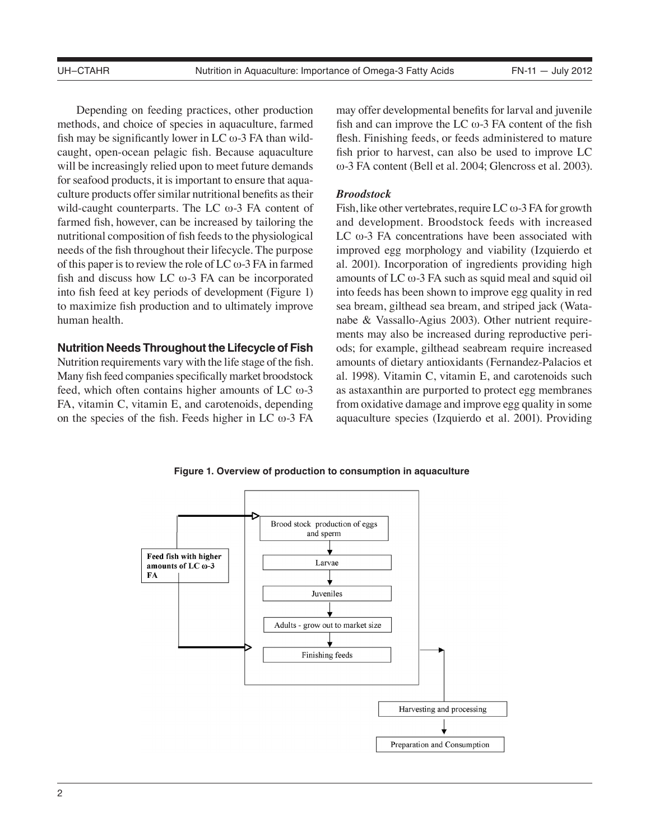Depending on feeding practices, other production methods, and choice of species in aquaculture, farmed fish may be significantly lower in LC  $\omega$ -3 FA than wildcaught, open-ocean pelagic fish. Because aquaculture will be increasingly relied upon to meet future demands for seafood products, it is important to ensure that aquaculture products offer similar nutritional benefits as their wild-caught counterparts. The LC ω-3 FA content of farmed fish, however, can be increased by tailoring the nutritional composition of fish feeds to the physiological needs of the fish throughout their lifecycle. The purpose of this paper is to review the role of LC  $\omega$ -3 FA in farmed fish and discuss how LC ω-3 FA can be incorporated into fish feed at key periods of development (Figure 1) to maximize fish production and to ultimately improve human health.

#### **Nutrition Needs Throughout the Lifecycle of Fish**

Nutrition requirements vary with the life stage of the fish. Many fish feed companies specifically market broodstock feed, which often contains higher amounts of LC ω-3 FA, vitamin C, vitamin E, and carotenoids, depending on the species of the fish. Feeds higher in LC ω-3 FA

may offer developmental benefits for larval and juvenile fish and can improve the LC  $\omega$ -3 FA content of the fish flesh. Finishing feeds, or feeds administered to mature fish prior to harvest, can also be used to improve LC ω-3 FA content (Bell et al. 2004; Glencross et al. 2003).

#### *Broodstock*

Fish, like other vertebrates, require LC  $\omega$ -3 FA for growth and development. Broodstock feeds with increased LC  $\omega$ -3 FA concentrations have been associated with improved egg morphology and viability (Izquierdo et al. 2001). Incorporation of ingredients providing high amounts of LC ω-3 FA such as squid meal and squid oil into feeds has been shown to improve egg quality in red sea bream, gilthead sea bream, and striped jack (Watanabe & Vassallo-Agius 2003). Other nutrient requirements may also be increased during reproductive periods; for example, gilthead seabream require increased amounts of dietary antioxidants (Fernandez-Palacios et al. 1998). Vitamin C, vitamin E, and carotenoids such as astaxanthin are purported to protect egg membranes from oxidative damage and improve egg quality in some aquaculture species (Izquierdo et al. 2001). Providing

**Figure 1. Overview of production to consumption in aquaculture**

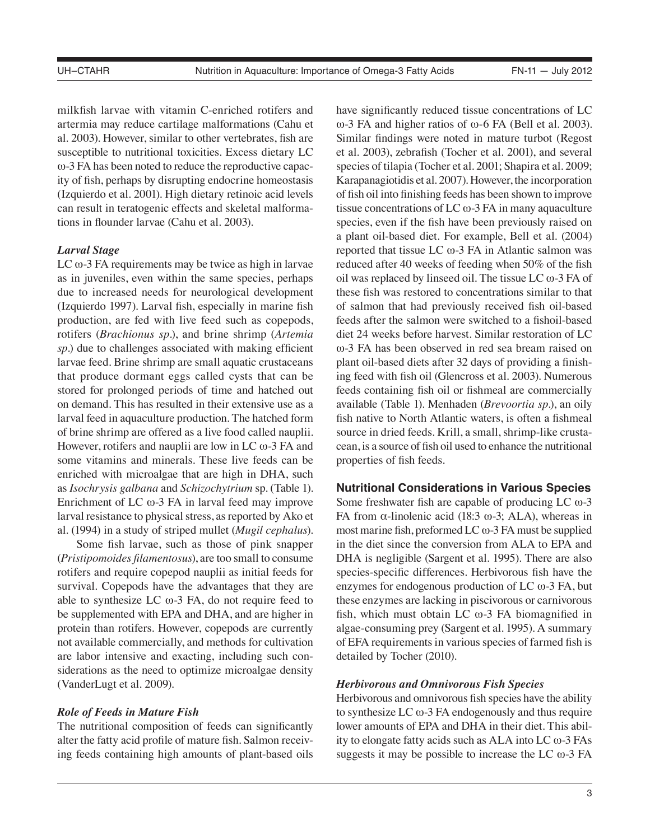milkfish larvae with vitamin C-enriched rotifers and artermia may reduce cartilage malformations (Cahu et al. 2003). However, similar to other vertebrates, fish are susceptible to nutritional toxicities. Excess dietary LC ω-3 FA has been noted to reduce the reproductive capacity of fish, perhaps by disrupting endocrine homeostasis (Izquierdo et al. 2001). High dietary retinoic acid levels can result in teratogenic effects and skeletal malformations in flounder larvae (Cahu et al. 2003).

## *Larval Stage*

LC  $\omega$ -3 FA requirements may be twice as high in larvae as in juveniles, even within the same species, perhaps due to increased needs for neurological development (Izquierdo 1997). Larval fish, especially in marine fish production, are fed with live feed such as copepods, rotifers (*Brachionus sp.*), and brine shrimp (*Artemia sp.*) due to challenges associated with making efficient larvae feed. Brine shrimp are small aquatic crustaceans that produce dormant eggs called cysts that can be stored for prolonged periods of time and hatched out on demand. This has resulted in their extensive use as a larval feed in aquaculture production. The hatched form of brine shrimp are offered as a live food called nauplii. However, rotifers and nauplii are low in LC  $\omega$ -3 FA and some vitamins and minerals. These live feeds can be enriched with microalgae that are high in DHA, such as *Isochrysis galbana* and *Schizochytrium* sp. (Table 1). Enrichment of LC  $\omega$ -3 FA in larval feed may improve larval resistance to physical stress, as reported by Ako et al. (1994) in a study of striped mullet (*Mugil cephalus*).

Some fish larvae, such as those of pink snapper (*Pristipomoides filamentosus*), are too small to consume rotifers and require copepod nauplii as initial feeds for survival. Copepods have the advantages that they are able to synthesize LC  $\omega$ -3 FA, do not require feed to be supplemented with EPA and DHA, and are higher in protein than rotifers. However, copepods are currently not available commercially, and methods for cultivation are labor intensive and exacting, including such considerations as the need to optimize microalgae density (VanderLugt et al. 2009).

## *Role of Feeds in Mature Fish*

The nutritional composition of feeds can significantly alter the fatty acid profile of mature fish. Salmon receiving feeds containing high amounts of plant-based oils have significantly reduced tissue concentrations of LC ω-3 FA and higher ratios of ω-6 FA (Bell et al. 2003). Similar findings were noted in mature turbot (Regost et al. 2003), zebrafish (Tocher et al. 2001), and several species of tilapia (Tocher et al. 2001; Shapira et al. 2009; Karapanagiotidis et al. 2007). However, the incorporation of fish oil into finishing feeds has been shown to improve tissue concentrations of LC  $\omega$ -3 FA in many aquaculture species, even if the fish have been previously raised on a plant oil-based diet. For example, Bell et al. (2004) reported that tissue LC ω-3 FA in Atlantic salmon was reduced after 40 weeks of feeding when 50% of the fish oil was replaced by linseed oil. The tissue LC ω-3 FA of these fish was restored to concentrations similar to that of salmon that had previously received fish oil-based feeds after the salmon were switched to a fishoil-based diet 24 weeks before harvest. Similar restoration of LC ω-3 FA has been observed in red sea bream raised on plant oil-based diets after 32 days of providing a finishing feed with fish oil (Glencross et al. 2003). Numerous feeds containing fish oil or fishmeal are commercially available (Table 1). Menhaden (*Brevoortia sp.*), an oily fish native to North Atlantic waters, is often a fishmeal source in dried feeds. Krill, a small, shrimp-like crustacean, is a source of fish oil used to enhance the nutritional properties of fish feeds.

## **Nutritional Considerations in Various Species**

Some freshwater fish are capable of producing LC ω-3 FA from α-linolenic acid (18:3 ω-3; ALA), whereas in most marine fish, preformed LC  $\omega$ -3 FA must be supplied in the diet since the conversion from ALA to EPA and DHA is negligible (Sargent et al. 1995). There are also species-specific differences. Herbivorous fish have the enzymes for endogenous production of LC ω-3 FA, but these enzymes are lacking in piscivorous or carnivorous fish, which must obtain LC ω-3 FA biomagnified in algae-consuming prey (Sargent et al. 1995). A summary of EFA requirements in various species of farmed fish is detailed by Tocher (2010).

#### *Herbivorous and Omnivorous Fish Species*

Herbivorous and omnivorous fish species have the ability to synthesize  $LC \omega$ -3 FA endogenously and thus require lower amounts of EPA and DHA in their diet. This ability to elongate fatty acids such as ALA into LC ω-3 FAs suggests it may be possible to increase the LC  $\omega$ -3 FA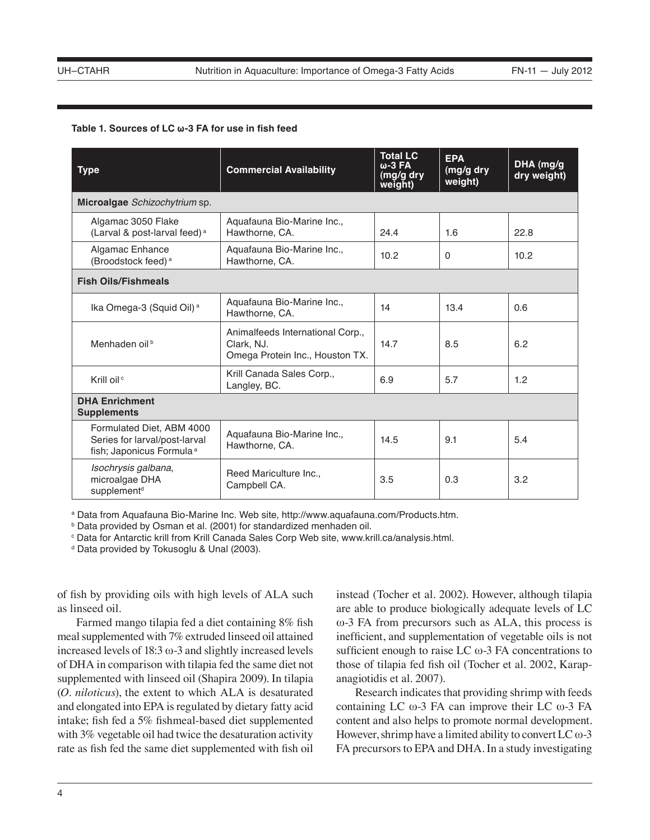#### **Table 1. Sources of LC ω-3 FA for use in fish feed**

| <b>Type</b>                                                                                        | <b>Commercial Availability</b>                                                    | <b>Total LC</b><br>$\omega$ -3 FA<br>(mg/g dry<br>weight) | <b>EPA</b><br>(mg/g dry<br>weight) | DHA (mg/g<br>dry weight) |
|----------------------------------------------------------------------------------------------------|-----------------------------------------------------------------------------------|-----------------------------------------------------------|------------------------------------|--------------------------|
| Microalgae Schizochytrium sp.                                                                      |                                                                                   |                                                           |                                    |                          |
| Algamac 3050 Flake<br>(Larval & post-larval feed) <sup>a</sup>                                     | Aguafauna Bio-Marine Inc.,<br>Hawthorne, CA.                                      | 24.4                                                      | 1.6                                | 22.8                     |
| Algamac Enhance<br>(Broodstock feed) <sup>a</sup>                                                  | Aquafauna Bio-Marine Inc.,<br>Hawthorne, CA.                                      | 10.2                                                      | $\mathbf{0}$                       | 10.2                     |
| <b>Fish Oils/Fishmeals</b>                                                                         |                                                                                   |                                                           |                                    |                          |
| Ika Omega-3 (Squid Oil) <sup>a</sup>                                                               | Aquafauna Bio-Marine Inc.,<br>Hawthorne, CA.                                      | 14                                                        | 13.4                               | 0.6                      |
| Menhaden oil <sup>b</sup>                                                                          | Animalfeeds International Corp.,<br>Clark, NJ.<br>Omega Protein Inc., Houston TX. | 14.7                                                      | 8.5                                | 6.2                      |
| Krill oil <sup>c</sup>                                                                             | Krill Canada Sales Corp.,<br>Langley, BC.                                         | 6.9                                                       | 5.7                                | 1.2                      |
| <b>DHA Enrichment</b><br><b>Supplements</b>                                                        |                                                                                   |                                                           |                                    |                          |
| Formulated Diet, ABM 4000<br>Series for larval/post-larval<br>fish; Japonicus Formula <sup>a</sup> | Aquafauna Bio-Marine Inc.,<br>Hawthorne, CA.                                      | 14.5                                                      | 9.1                                | 5.4                      |
| Isochrysis galbana,<br>microalgae DHA<br>supplement <sup>d</sup>                                   | Reed Mariculture Inc.,<br>Campbell CA.                                            | 3.5                                                       | 0.3                                | 3.2                      |

a Data from Aquafauna Bio-Marine Inc. Web site, http://www.aquafauna.com/Products.htm.

b Data provided by Osman et al. (2001) for standardized menhaden oil.

c Data for Antarctic krill from Krill Canada Sales Corp Web site, www.krill.ca/analysis.html.

d Data provided by Tokusoglu & Unal (2003).

of fish by providing oils with high levels of ALA such as linseed oil.

Farmed mango tilapia fed a diet containing 8% fish meal supplemented with 7% extruded linseed oil attained increased levels of  $18:3 \omega - 3$  and slightly increased levels of DHA in comparison with tilapia fed the same diet not supplemented with linseed oil (Shapira 2009). In tilapia (*O. niloticus*), the extent to which ALA is desaturated and elongated into EPA is regulated by dietary fatty acid intake; fish fed a 5% fishmeal-based diet supplemented with 3% vegetable oil had twice the desaturation activity rate as fish fed the same diet supplemented with fish oil instead (Tocher et al. 2002). However, although tilapia are able to produce biologically adequate levels of LC ω-3 FA from precursors such as ALA, this process is inefficient, and supplementation of vegetable oils is not sufficient enough to raise LC  $\omega$ -3 FA concentrations to those of tilapia fed fish oil (Tocher et al. 2002, Karapanagiotidis et al. 2007).

Research indicates that providing shrimp with feeds containing LC ω-3 FA can improve their LC ω-3 FA content and also helps to promote normal development. However, shrimp have a limited ability to convert LC  $\omega$ -3 FA precursors to EPA and DHA. In a study investigating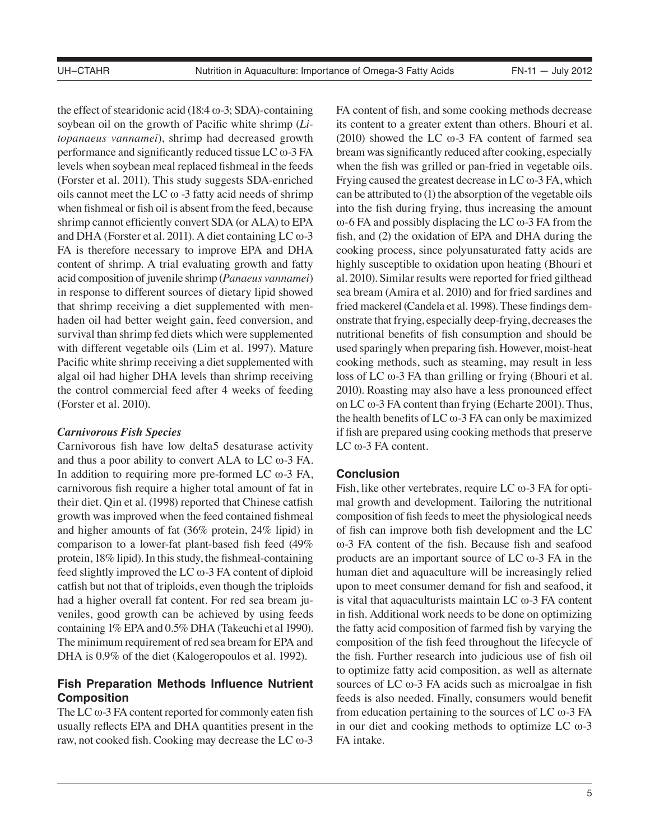the effect of stearidonic acid (18:4  $\omega$ -3; SDA)-containing soybean oil on the growth of Pacific white shrimp (*Litopanaeus vannamei*), shrimp had decreased growth performance and significantly reduced tissue LC ω-3 FA levels when soybean meal replaced fishmeal in the feeds (Forster et al. 2011). This study suggests SDA-enriched oils cannot meet the LC  $\omega$  -3 fatty acid needs of shrimp when fishmeal or fish oil is absent from the feed, because shrimp cannot efficiently convert SDA (or ALA) to EPA and DHA (Forster et al. 2011). A diet containing LC ω-3 FA is therefore necessary to improve EPA and DHA content of shrimp. A trial evaluating growth and fatty acid composition of juvenile shrimp (*Panaeus vannamei*) in response to different sources of dietary lipid showed that shrimp receiving a diet supplemented with menhaden oil had better weight gain, feed conversion, and survival than shrimp fed diets which were supplemented with different vegetable oils (Lim et al. 1997). Mature Pacific white shrimp receiving a diet supplemented with algal oil had higher DHA levels than shrimp receiving the control commercial feed after 4 weeks of feeding (Forster et al. 2010).

## *Carnivorous Fish Species*

Carnivorous fish have low delta5 desaturase activity and thus a poor ability to convert ALA to LC ω-3 FA. In addition to requiring more pre-formed LC  $\omega$ -3 FA, carnivorous fish require a higher total amount of fat in their diet. Qin et al. (1998) reported that Chinese catfish growth was improved when the feed contained fishmeal and higher amounts of fat (36% protein, 24% lipid) in comparison to a lower-fat plant-based fish feed (49% protein, 18% lipid). In this study, the fishmeal-containing feed slightly improved the LC ω-3 FA content of diploid catfish but not that of triploids, even though the triploids had a higher overall fat content. For red sea bream juveniles, good growth can be achieved by using feeds containing 1% EPA and 0.5% DHA (Takeuchi et al 1990). The minimum requirement of red sea bream for EPA and DHA is  $0.9\%$  of the diet (Kalogeropoulos et al. 1992).

# **Fish Preparation Methods Influence Nutrient Composition**

The LC  $\omega$ -3 FA content reported for commonly eaten fish usually reflects EPA and DHA quantities present in the raw, not cooked fish. Cooking may decrease the LC ω-3 FA content of fish, and some cooking methods decrease its content to a greater extent than others. Bhouri et al. (2010) showed the LC ω-3 FA content of farmed sea bream was significantly reduced after cooking, especially when the fish was grilled or pan-fried in vegetable oils. Frying caused the greatest decrease in LC  $\omega$ -3 FA, which can be attributed to (1) the absorption of the vegetable oils into the fish during frying, thus increasing the amount ω-6 FA and possibly displacing the LC ω-3 FA from the fish, and (2) the oxidation of EPA and DHA during the cooking process, since polyunsaturated fatty acids are highly susceptible to oxidation upon heating (Bhouri et al. 2010). Similar results were reported for fried gilthead sea bream (Amira et al. 2010) and for fried sardines and fried mackerel (Candela et al. 1998). These findings demonstrate that frying, especially deep-frying, decreases the nutritional benefits of fish consumption and should be used sparingly when preparing fish. However, moist-heat cooking methods, such as steaming, may result in less loss of LC ω-3 FA than grilling or frying (Bhouri et al. 2010). Roasting may also have a less pronounced effect on LC  $\omega$ -3 FA content than frying (Echarte 2001). Thus, the health benefits of LC  $\omega$ -3 FA can only be maximized if fish are prepared using cooking methods that preserve LC  $\omega$ -3 FA content.

## **Conclusion**

Fish, like other vertebrates, require LC  $\omega$ -3 FA for optimal growth and development. Tailoring the nutritional composition of fish feeds to meet the physiological needs of fish can improve both fish development and the LC ω-3 FA content of the fish. Because fish and seafood products are an important source of LC  $\omega$ -3 FA in the human diet and aquaculture will be increasingly relied upon to meet consumer demand for fish and seafood, it is vital that aquaculturists maintain LC ω-3 FA content in fish. Additional work needs to be done on optimizing the fatty acid composition of farmed fish by varying the composition of the fish feed throughout the lifecycle of the fish. Further research into judicious use of fish oil to optimize fatty acid composition, as well as alternate sources of LC  $\omega$ -3 FA acids such as microalgae in fish feeds is also needed. Finally, consumers would benefit from education pertaining to the sources of LC  $\omega$ -3 FA in our diet and cooking methods to optimize LC ω-3 FA intake.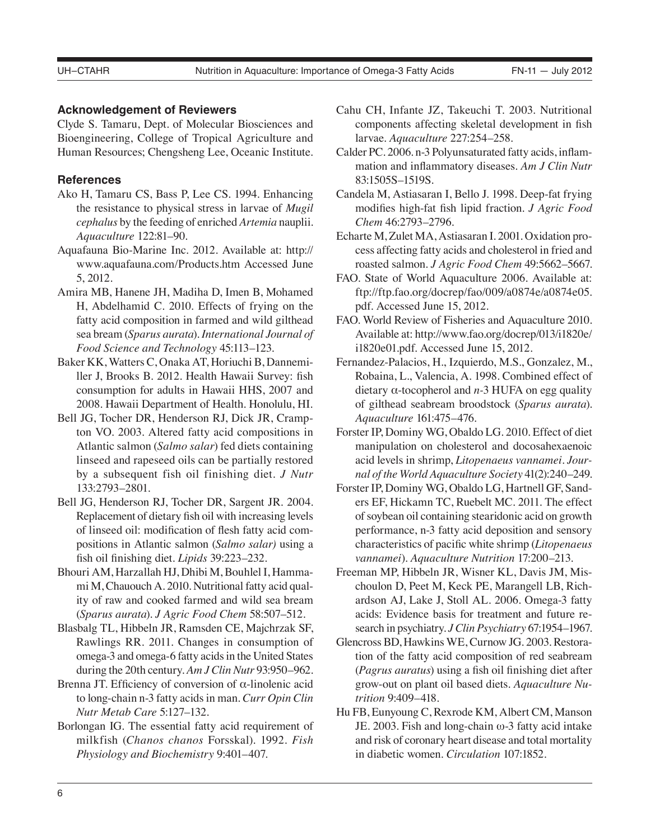## **Acknowledgement of Reviewers**

Clyde S. Tamaru, Dept. of Molecular Biosciences and Bioengineering, College of Tropical Agriculture and Human Resources; Chengsheng Lee, Oceanic Institute.

## **References**

- Ako H, Tamaru CS, Bass P, Lee CS. 1994. Enhancing the resistance to physical stress in larvae of *Mugil cephalus* by the feeding of enriched *Artemia* nauplii. *Aquaculture* 122:81–90.
- Aquafauna Bio-Marine Inc. 2012. Available at: http:// www.aquafauna.com/Products.htm Accessed June 5, 2012.
- Amira MB, Hanene JH, Madiha D, Imen B, Mohamed H, Abdelhamid C. 2010. Effects of frying on the fatty acid composition in farmed and wild gilthead sea bream (*Sparus aurata*). *International Journal of Food Science and Technology* 45:113–123.
- Baker KK, Watters C, Onaka AT, Horiuchi B, Dannemiller J, Brooks B. 2012. Health Hawaii Survey: fish consumption for adults in Hawaii HHS, 2007 and 2008. Hawaii Department of Health. Honolulu, HI.
- Bell JG, Tocher DR, Henderson RJ, Dick JR, Crampton VO. 2003. Altered fatty acid compositions in Atlantic salmon (*Salmo salar*) fed diets containing linseed and rapeseed oils can be partially restored by a subsequent fish oil finishing diet. *J Nutr*  133:2793–2801.
- Bell JG, Henderson RJ, Tocher DR, Sargent JR. 2004. Replacement of dietary fish oil with increasing levels of linseed oil: modification of flesh fatty acid compositions in Atlantic salmon (*Salmo salar)* using a fish oil finishing diet. *Lipids* 39:223–232.
- Bhouri AM, Harzallah HJ, Dhibi M, Bouhlel I, Hammami M, Chauouch A. 2010. Nutritional fatty acid quality of raw and cooked farmed and wild sea bream (*Sparus aurata*). *J Agric Food Chem* 58:507–512.
- Blasbalg TL, Hibbeln JR, Ramsden CE, Majchrzak SF, Rawlings RR. 2011. Changes in consumption of omega-3 and omega-6 fatty acids in the United States during the 20th century. *Am J Clin Nutr* 93:950–962.
- Brenna JT. Efficiency of conversion of α-linolenic acid to long-chain n-3 fatty acids in man. *Curr Opin Clin Nutr Metab Care* 5:127–132.
- Borlongan IG. The essential fatty acid requirement of milkfish (*Chanos chanos* Forsskal). 1992. *Fish Physiology and Biochemistry* 9:401–407.
- Cahu CH, Infante JZ, Takeuchi T. 2003. Nutritional components affecting skeletal development in fish larvae. *Aquaculture* 227:254–258.
- Calder PC. 2006. n-3 Polyunsaturated fatty acids, inflammation and inflammatory diseases. *Am J Clin Nutr* 83:1505S–1519S.
- Candela M, Astiasaran I, Bello J. 1998. Deep-fat frying modifies high-fat fish lipid fraction. *J Agric Food Chem* 46:2793–2796.
- Echarte M, Zulet MA, Astiasaran I. 2001. Oxidation process affecting fatty acids and cholesterol in fried and roasted salmon. *J Agric Food Chem* 49:5662–5667.
- FAO. State of World Aquaculture 2006. Available at: ftp://ftp.fao.org/docrep/fao/009/a0874e/a0874e05. pdf. Accessed June 15, 2012.
- FAO. World Review of Fisheries and Aquaculture 2010. Available at: http://www.fao.org/docrep/013/i1820e/ i1820e01.pdf. Accessed June 15, 2012.
- Fernandez-Palacios, H., Izquierdo, M.S., Gonzalez, M., Robaina, L., Valencia, A. 1998. Combined effect of dietary α-tocopherol and *n-*3 HUFA on egg quality of gilthead seabream broodstock (*Sparus aurata*). *Aquaculture* 161:475–476.
- Forster IP, Dominy WG, Obaldo LG. 2010. Effect of diet manipulation on cholesterol and docosahexaenoic acid levels in shrimp, *Litopenaeus vannamei. Journal of the World Aquaculture Society* 41(2):240–249.
- Forster IP, Dominy WG, Obaldo LG, Hartnell GF, Sanders EF, Hickamn TC, Ruebelt MC. 2011. The effect of soybean oil containing stearidonic acid on growth performance, n-3 fatty acid deposition and sensory characteristics of pacific white shrimp (*Litopenaeus vannamei*). *Aquaculture Nutrition* 17:200–213.
- Freeman MP, Hibbeln JR, Wisner KL, Davis JM, Mischoulon D, Peet M, Keck PE, Marangell LB, Richardson AJ, Lake J, Stoll AL. 2006. Omega-3 fatty acids: Evidence basis for treatment and future research in psychiatry. *J Clin Psychiatry* 67:1954–1967.
- Glencross BD, Hawkins WE, Curnow JG. 2003. Restoration of the fatty acid composition of red seabream (*Pagrus auratus*) using a fish oil finishing diet after grow-out on plant oil based diets. *Aquaculture Nutrition* 9:409–418.
- Hu FB, Eunyoung C, Rexrode KM, Albert CM, Manson JE. 2003. Fish and long-chain ω-3 fatty acid intake and risk of coronary heart disease and total mortality in diabetic women. *Circulation* 107:1852.